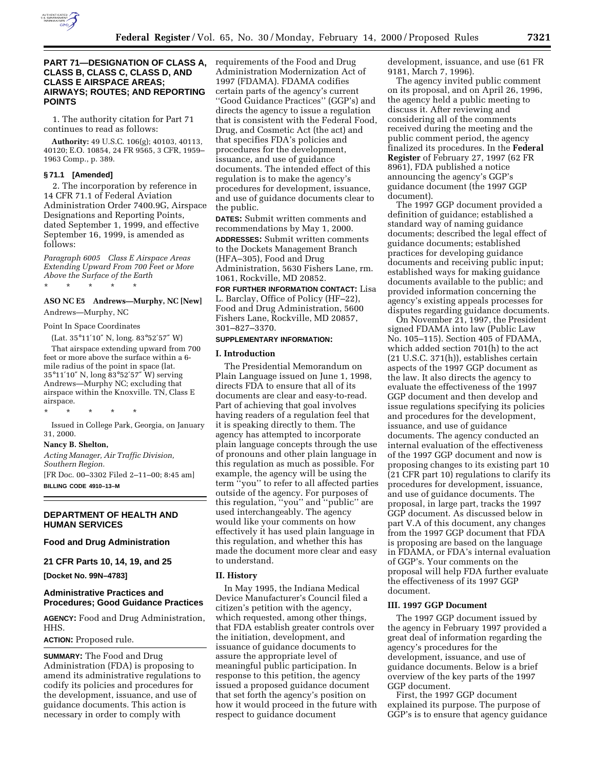

## **PART 71—DESIGNATION OF CLASS A, CLASS B, CLASS C, CLASS D, AND CLASS E AIRSPACE AREAS; AIRWAYS; ROUTES; AND REPORTING POINTS**

1. The authority citation for Part 71 continues to read as follows:

**Authority:** 49 U.S.C. 106(g); 40103, 40113, 40120; E.O. 10854, 24 FR 9565, 3 CFR, 1959– 1963 Comp., p. 389.

#### **§ 71.1 [Amended]**

2. The incorporation by reference in 14 CFR 71.1 of Federal Aviation Administration Order 7400.9G, Airspace Designations and Reporting Points, dated September 1, 1999, and effective September 16, 1999, is amended as follows:

*Paragraph 6005 Class E Airspace Areas Extending Upward From 700 Feet or More Above the Surface of the Earth*

\* \* \* \* \*

#### **ASO NC E5 Andrews—Murphy, NC [New]**

Andrews—Murphy, NC

#### Point In Space Coordinates

(Lat. 35°11′10″ N, long. 83°52′57″ W) That airspace extending upward from 700 feet or more above the surface within a 6 mile radius of the point in space (lat. 35°11′10″ N, long 83°52′57″ W) serving Andrews—Murphy NC; excluding that airspace within the Knoxville. TN, Class E airspace.

\* \* \* \* \*

Issued in College Park, Georgia, on January 31, 2000.

#### **Nancy B. Shelton,**

*Acting Manager, Air Traffic Division, Southern Region.*

[FR Doc. 00–3302 Filed 2–11–00; 8:45 am] **BILLING CODE 4910–13–M**

### **DEPARTMENT OF HEALTH AND HUMAN SERVICES**

## **Food and Drug Administration**

**21 CFR Parts 10, 14, 19, and 25**

**[Docket No. 99N–4783]**

## **Administrative Practices and Procedures; Good Guidance Practices**

**AGENCY:** Food and Drug Administration, HHS.

## **ACTION:** Proposed rule.

**SUMMARY:** The Food and Drug Administration (FDA) is proposing to amend its administrative regulations to codify its policies and procedures for the development, issuance, and use of guidance documents. This action is necessary in order to comply with

requirements of the Food and Drug Administration Modernization Act of 1997 (FDAMA). FDAMA codifies certain parts of the agency's current ''Good Guidance Practices'' (GGP's) and directs the agency to issue a regulation that is consistent with the Federal Food, Drug, and Cosmetic Act (the act) and that specifies FDA's policies and procedures for the development, issuance, and use of guidance documents. The intended effect of this regulation is to make the agency's procedures for development, issuance, and use of guidance documents clear to the public.

**DATES:** Submit written comments and recommendations by May 1, 2000.

**ADDRESSES:** Submit written comments to the Dockets Management Branch (HFA–305), Food and Drug Administration, 5630 Fishers Lane, rm. 1061, Rockville, MD 20852.

**FOR FURTHER INFORMATION CONTACT:** Lisa L. Barclay, Office of Policy (HF–22), Food and Drug Administration, 5600 Fishers Lane, Rockville, MD 20857, 301–827–3370.

### **SUPPLEMENTARY INFORMATION:**

### **I. Introduction**

The Presidential Memorandum on Plain Language issued on June 1, 1998, directs FDA to ensure that all of its documents are clear and easy-to-read. Part of achieving that goal involves having readers of a regulation feel that it is speaking directly to them. The agency has attempted to incorporate plain language concepts through the use of pronouns and other plain language in this regulation as much as possible. For example, the agency will be using the term ''you'' to refer to all affected parties outside of the agency. For purposes of this regulation, ''you'' and ''public'' are used interchangeably. The agency would like your comments on how effectively it has used plain language in this regulation, and whether this has made the document more clear and easy to understand.

#### **II. History**

In May 1995, the Indiana Medical Device Manufacturer's Council filed a citizen's petition with the agency, which requested, among other things, that FDA establish greater controls over the initiation, development, and issuance of guidance documents to assure the appropriate level of meaningful public participation. In response to this petition, the agency issued a proposed guidance document that set forth the agency's position on how it would proceed in the future with respect to guidance document

development, issuance, and use (61 FR 9181, March 7, 1996).

The agency invited public comment on its proposal, and on April 26, 1996, the agency held a public meeting to discuss it. After reviewing and considering all of the comments received during the meeting and the public comment period, the agency finalized its procedures. In the **Federal Register** of February 27, 1997 (62 FR 8961), FDA published a notice announcing the agency's GGP's guidance document (the 1997 GGP document).

The 1997 GGP document provided a definition of guidance; established a standard way of naming guidance documents; described the legal effect of guidance documents; established practices for developing guidance documents and receiving public input; established ways for making guidance documents available to the public; and provided information concerning the agency's existing appeals processes for disputes regarding guidance documents.

On November 21, 1997, the President signed FDAMA into law (Public Law No. 105–115). Section 405 of FDAMA, which added section 701(h) to the act (21 U.S.C. 371(h)), establishes certain aspects of the 1997 GGP document as the law. It also directs the agency to evaluate the effectiveness of the 1997 GGP document and then develop and issue regulations specifying its policies and procedures for the development, issuance, and use of guidance documents. The agency conducted an internal evaluation of the effectiveness of the 1997 GGP document and now is proposing changes to its existing part 10 (21 CFR part 10) regulations to clarify its procedures for development, issuance, and use of guidance documents. The proposal, in large part, tracks the 1997 GGP document. As discussed below in part V.A of this document, any changes from the 1997 GGP document that FDA is proposing are based on the language in FDAMA, or FDA's internal evaluation of GGP's. Your comments on the proposal will help FDA further evaluate the effectiveness of its 1997 GGP document.

#### **III. 1997 GGP Document**

The 1997 GGP document issued by the agency in February 1997 provided a great deal of information regarding the agency's procedures for the development, issuance, and use of guidance documents. Below is a brief overview of the key parts of the 1997 GGP document.

First, the 1997 GGP document explained its purpose. The purpose of GGP's is to ensure that agency guidance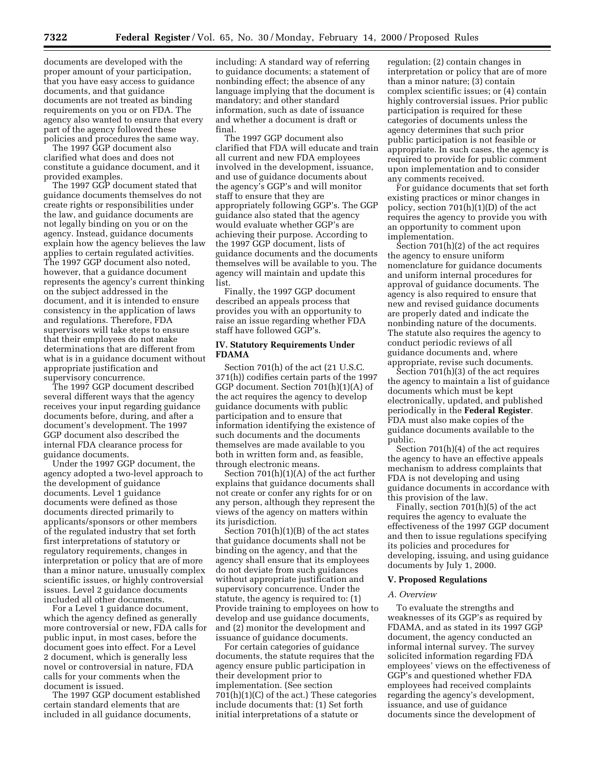documents are developed with the proper amount of your participation, that you have easy access to guidance documents, and that guidance documents are not treated as binding requirements on you or on FDA. The agency also wanted to ensure that every part of the agency followed these policies and procedures the same way.

The 1997 GGP document also clarified what does and does not constitute a guidance document, and it provided examples.

The 1997 GGP document stated that guidance documents themselves do not create rights or responsibilities under the law, and guidance documents are not legally binding on you or on the agency. Instead, guidance documents explain how the agency believes the law applies to certain regulated activities. The 1997 GGP document also noted, however, that a guidance document represents the agency's current thinking on the subject addressed in the document, and it is intended to ensure consistency in the application of laws and regulations. Therefore, FDA supervisors will take steps to ensure that their employees do not make determinations that are different from what is in a guidance document without appropriate justification and supervisory concurrence.

The 1997 GGP document described several different ways that the agency receives your input regarding guidance documents before, during, and after a document's development. The 1997 GGP document also described the internal FDA clearance process for guidance documents.

Under the 1997 GGP document, the agency adopted a two-level approach to the development of guidance documents. Level 1 guidance documents were defined as those documents directed primarily to applicants/sponsors or other members of the regulated industry that set forth first interpretations of statutory or regulatory requirements, changes in interpretation or policy that are of more than a minor nature, unusually complex scientific issues, or highly controversial issues. Level 2 guidance documents included all other documents.

For a Level 1 guidance document, which the agency defined as generally more controversial or new, FDA calls for public input, in most cases, before the document goes into effect. For a Level 2 document, which is generally less novel or controversial in nature, FDA calls for your comments when the document is issued.

The 1997 GGP document established certain standard elements that are included in all guidance documents,

including: A standard way of referring to guidance documents; a statement of nonbinding effect; the absence of any language implying that the document is mandatory; and other standard information, such as date of issuance and whether a document is draft or final.

The 1997 GGP document also clarified that FDA will educate and train all current and new FDA employees involved in the development, issuance, and use of guidance documents about the agency's GGP's and will monitor staff to ensure that they are appropriately following GGP's. The GGP guidance also stated that the agency would evaluate whether GGP's are achieving their purpose. According to the 1997 GGP document, lists of guidance documents and the documents themselves will be available to you. The agency will maintain and update this list.

Finally, the 1997 GGP document described an appeals process that provides you with an opportunity to raise an issue regarding whether FDA staff have followed GGP's.

## **IV. Statutory Requirements Under FDAMA**

Section 701(h) of the act (21 U.S.C. 371(h)) codifies certain parts of the 1997 GGP document. Section 701(h)(1)(A) of the act requires the agency to develop guidance documents with public participation and to ensure that information identifying the existence of such documents and the documents themselves are made available to you both in written form and, as feasible, through electronic means.

Section 701(h)(1)(A) of the act further explains that guidance documents shall not create or confer any rights for or on any person, although they represent the views of the agency on matters within its jurisdiction.

Section  $701(h)(1)(B)$  of the act states that guidance documents shall not be binding on the agency, and that the agency shall ensure that its employees do not deviate from such guidances without appropriate justification and supervisory concurrence. Under the statute, the agency is required to: (1) Provide training to employees on how to develop and use guidance documents, and (2) monitor the development and issuance of guidance documents.

For certain categories of guidance documents, the statute requires that the agency ensure public participation in their development prior to implementation. (See section  $701(h)(1)(C)$  of the act.) These categories include documents that: (1) Set forth initial interpretations of a statute or

regulation; (2) contain changes in interpretation or policy that are of more than a minor nature; (3) contain complex scientific issues; or (4) contain highly controversial issues. Prior public participation is required for these categories of documents unless the agency determines that such prior public participation is not feasible or appropriate. In such cases, the agency is required to provide for public comment upon implementation and to consider any comments received.

For guidance documents that set forth existing practices or minor changes in policy, section 701(h)(1)(D) of the act requires the agency to provide you with an opportunity to comment upon implementation.

Section 701(h)(2) of the act requires the agency to ensure uniform nomenclature for guidance documents and uniform internal procedures for approval of guidance documents. The agency is also required to ensure that new and revised guidance documents are properly dated and indicate the nonbinding nature of the documents. The statute also requires the agency to conduct periodic reviews of all guidance documents and, where appropriate, revise such documents.

Section 701(h)(3) of the act requires the agency to maintain a list of guidance documents which must be kept electronically, updated, and published periodically in the **Federal Register**. FDA must also make copies of the guidance documents available to the public.

Section 701(h)(4) of the act requires the agency to have an effective appeals mechanism to address complaints that FDA is not developing and using guidance documents in accordance with this provision of the law.

Finally, section 701(h)(5) of the act requires the agency to evaluate the effectiveness of the 1997 GGP document and then to issue regulations specifying its policies and procedures for developing, issuing, and using guidance documents by July 1, 2000.

### **V. Proposed Regulations**

#### *A. Overview*

To evaluate the strengths and weaknesses of its GGP's as required by FDAMA, and as stated in its 1997 GGP document, the agency conducted an informal internal survey. The survey solicited information regarding FDA employees' views on the effectiveness of GGP's and questioned whether FDA employees had received complaints regarding the agency's development, issuance, and use of guidance documents since the development of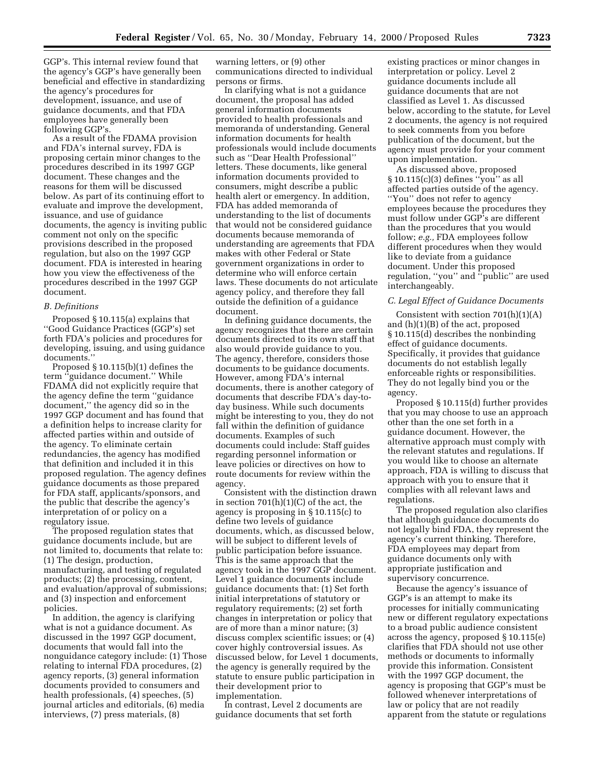GGP's. This internal review found that the agency's GGP's have generally been beneficial and effective in standardizing the agency's procedures for development, issuance, and use of guidance documents, and that FDA employees have generally been following GGP's.

As a result of the FDAMA provision and FDA's internal survey, FDA is proposing certain minor changes to the procedures described in its 1997 GGP document. These changes and the reasons for them will be discussed below. As part of its continuing effort to evaluate and improve the development, issuance, and use of guidance documents, the agency is inviting public comment not only on the specific provisions described in the proposed regulation, but also on the 1997 GGP document. FDA is interested in hearing how you view the effectiveness of the procedures described in the 1997 GGP document.

#### *B. Definitions*

Proposed § 10.115(a) explains that ''Good Guidance Practices (GGP's) set forth FDA's policies and procedures for developing, issuing, and using guidance documents.''

Proposed § 10.115(b)(1) defines the term ''guidance document.'' While FDAMA did not explicitly require that the agency define the term ''guidance document,'' the agency did so in the 1997 GGP document and has found that a definition helps to increase clarity for affected parties within and outside of the agency. To eliminate certain redundancies, the agency has modified that definition and included it in this proposed regulation. The agency defines guidance documents as those prepared for FDA staff, applicants/sponsors, and the public that describe the agency's interpretation of or policy on a regulatory issue.

The proposed regulation states that guidance documents include, but are not limited to, documents that relate to: (1) The design, production, manufacturing, and testing of regulated products; (2) the processing, content, and evaluation/approval of submissions; and (3) inspection and enforcement policies.

In addition, the agency is clarifying what is not a guidance document. As discussed in the 1997 GGP document, documents that would fall into the nonguidance category include: (1) Those relating to internal FDA procedures, (2) agency reports, (3) general information documents provided to consumers and health professionals, (4) speeches, (5) journal articles and editorials, (6) media interviews, (7) press materials, (8)

warning letters, or (9) other communications directed to individual persons or firms.

In clarifying what is not a guidance document, the proposal has added general information documents provided to health professionals and memoranda of understanding. General information documents for health professionals would include documents such as ''Dear Health Professional'' letters. These documents, like general information documents provided to consumers, might describe a public health alert or emergency. In addition, FDA has added memoranda of understanding to the list of documents that would not be considered guidance documents because memoranda of understanding are agreements that FDA makes with other Federal or State government organizations in order to determine who will enforce certain laws. These documents do not articulate agency policy, and therefore they fall outside the definition of a guidance document.

In defining guidance documents, the agency recognizes that there are certain documents directed to its own staff that also would provide guidance to you. The agency, therefore, considers those documents to be guidance documents. However, among FDA's internal documents, there is another category of documents that describe FDA's day-today business. While such documents might be interesting to you, they do not fall within the definition of guidance documents. Examples of such documents could include: Staff guides regarding personnel information or leave policies or directives on how to route documents for review within the agency.

Consistent with the distinction drawn in section 701(h)(1)(C) of the act, the agency is proposing in § 10.115(c) to define two levels of guidance documents, which, as discussed below, will be subject to different levels of public participation before issuance. This is the same approach that the agency took in the 1997 GGP document. Level 1 guidance documents include guidance documents that: (1) Set forth initial interpretations of statutory or regulatory requirements; (2) set forth changes in interpretation or policy that are of more than a minor nature; (3) discuss complex scientific issues; or (4) cover highly controversial issues. As discussed below, for Level 1 documents, the agency is generally required by the statute to ensure public participation in their development prior to implementation.

In contrast, Level 2 documents are guidance documents that set forth

existing practices or minor changes in interpretation or policy. Level 2 guidance documents include all guidance documents that are not classified as Level 1. As discussed below, according to the statute, for Level 2 documents, the agency is not required to seek comments from you before publication of the document, but the agency must provide for your comment upon implementation.

As discussed above, proposed § 10.115(c)(3) defines ''you'' as all affected parties outside of the agency. ''You'' does not refer to agency employees because the procedures they must follow under GGP's are different than the procedures that you would follow; *e.g.,* FDA employees follow different procedures when they would like to deviate from a guidance document. Under this proposed regulation, ''you'' and ''public'' are used interchangeably.

#### *C. Legal Effect of Guidance Documents*

Consistent with section 701(h)(1)(A) and (h)(1)(B) of the act, proposed § 10.115(d) describes the nonbinding effect of guidance documents. Specifically, it provides that guidance documents do not establish legally enforceable rights or responsibilities. They do not legally bind you or the agency.

Proposed § 10.115(d) further provides that you may choose to use an approach other than the one set forth in a guidance document. However, the alternative approach must comply with the relevant statutes and regulations. If you would like to choose an alternate approach, FDA is willing to discuss that approach with you to ensure that it complies with all relevant laws and regulations.

The proposed regulation also clarifies that although guidance documents do not legally bind FDA, they represent the agency's current thinking. Therefore, FDA employees may depart from guidance documents only with appropriate justification and supervisory concurrence.

Because the agency's issuance of GGP's is an attempt to make its processes for initially communicating new or different regulatory expectations to a broad public audience consistent across the agency, proposed § 10.115(e) clarifies that FDA should not use other methods or documents to informally provide this information. Consistent with the 1997 GGP document, the agency is proposing that GGP's must be followed whenever interpretations of law or policy that are not readily apparent from the statute or regulations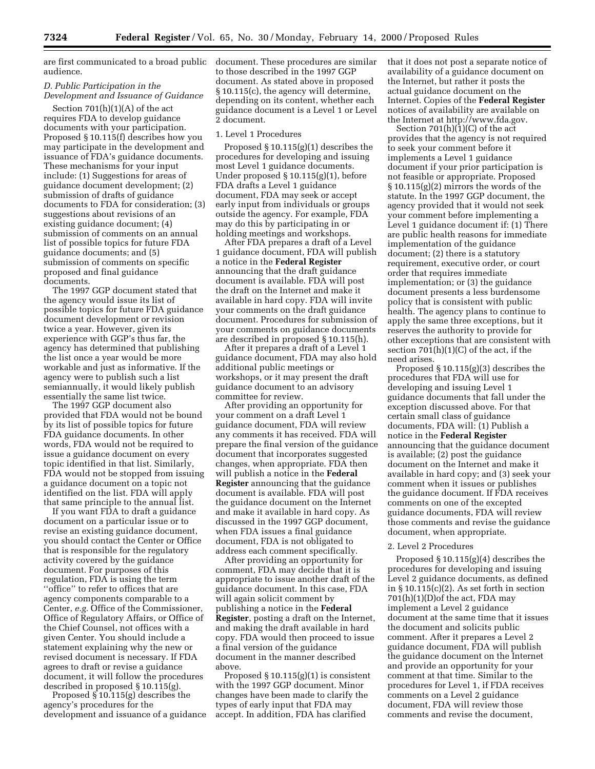are first communicated to a broad public document. These procedures are similar audience.

### *D. Public Participation in the Development and Issuance of Guidance*

Section  $701(h)(1)(A)$  of the act requires FDA to develop guidance documents with your participation. Proposed § 10.115(f) describes how you may participate in the development and issuance of FDA's guidance documents. These mechanisms for your input include: (1) Suggestions for areas of guidance document development; (2) submission of drafts of guidance documents to FDA for consideration; (3) suggestions about revisions of an existing guidance document; (4) submission of comments on an annual list of possible topics for future FDA guidance documents; and (5) submission of comments on specific proposed and final guidance documents.

The 1997 GGP document stated that the agency would issue its list of possible topics for future FDA guidance document development or revision twice a year. However, given its experience with GGP's thus far, the agency has determined that publishing the list once a year would be more workable and just as informative. If the agency were to publish such a list semiannually, it would likely publish essentially the same list twice.

The 1997 GGP document also provided that FDA would not be bound by its list of possible topics for future FDA guidance documents. In other words, FDA would not be required to issue a guidance document on every topic identified in that list. Similarly, FDA would not be stopped from issuing a guidance document on a topic not identified on the list. FDA will apply that same principle to the annual list.

If you want FDA to draft a guidance document on a particular issue or to revise an existing guidance document, you should contact the Center or Office that is responsible for the regulatory activity covered by the guidance document. For purposes of this regulation, FDA is using the term ''office'' to refer to offices that are agency components comparable to a Center, *e.g.* Office of the Commissioner, Office of Regulatory Affairs, or Office of the Chief Counsel, not offices with a given Center. You should include a statement explaining why the new or revised document is necessary. If FDA agrees to draft or revise a guidance document, it will follow the procedures described in proposed § 10.115(g).

Proposed § 10.115(g) describes the agency's procedures for the development and issuance of a guidance

to those described in the 1997 GGP document. As stated above in proposed § 10.115(c), the agency will determine, depending on its content, whether each guidance document is a Level 1 or Level 2 document.

### 1. Level 1 Procedures

Proposed § 10.115(g)(1) describes the procedures for developing and issuing most Level 1 guidance documents. Under proposed § 10.115(g)(1), before FDA drafts a Level 1 guidance document, FDA may seek or accept early input from individuals or groups outside the agency. For example, FDA may do this by participating in or holding meetings and workshops.

After FDA prepares a draft of a Level 1 guidance document, FDA will publish a notice in the **Federal Register** announcing that the draft guidance document is available. FDA will post the draft on the Internet and make it available in hard copy. FDA will invite your comments on the draft guidance document. Procedures for submission of your comments on guidance documents are described in proposed § 10.115(h).

After it prepares a draft of a Level 1 guidance document, FDA may also hold additional public meetings or workshops, or it may present the draft guidance document to an advisory committee for review.

After providing an opportunity for your comment on a draft Level 1 guidance document, FDA will review any comments it has received. FDA will prepare the final version of the guidance document that incorporates suggested changes, when appropriate. FDA then will publish a notice in the **Federal Register** announcing that the guidance document is available. FDA will post the guidance document on the Internet and make it available in hard copy. As discussed in the 1997 GGP document, when FDA issues a final guidance document, FDA is not obligated to address each comment specifically.

After providing an opportunity for comment, FDA may decide that it is appropriate to issue another draft of the guidance document. In this case, FDA will again solicit comment by publishing a notice in the **Federal Register**, posting a draft on the Internet, and making the draft available in hard copy. FDA would then proceed to issue a final version of the guidance document in the manner described above.

Proposed  $\S 10.115(g)(1)$  is consistent with the 1997 GGP document. Minor changes have been made to clarify the types of early input that FDA may accept. In addition, FDA has clarified

that it does not post a separate notice of availability of a guidance document on the Internet, but rather it posts the actual guidance document on the Internet. Copies of the **Federal Register** notices of availability are available on the Internet at http://www.fda.gov.

Section 701(h)(1)(C) of the act provides that the agency is not required to seek your comment before it implements a Level 1 guidance document if your prior participation is not feasible or appropriate. Proposed § 10.115(g)(2) mirrors the words of the statute. In the 1997 GGP document, the agency provided that it would not seek your comment before implementing a Level 1 guidance document if: (1) There are public health reasons for immediate implementation of the guidance document; (2) there is a statutory requirement, executive order, or court order that requires immediate implementation; or (3) the guidance document presents a less burdensome policy that is consistent with public health. The agency plans to continue to apply the same three exceptions, but it reserves the authority to provide for other exceptions that are consistent with section  $701(h)(1)(C)$  of the act, if the need arises.

Proposed § 10.115(g)(3) describes the procedures that FDA will use for developing and issuing Level 1 guidance documents that fall under the exception discussed above. For that certain small class of guidance documents, FDA will: (1) Publish a notice in the **Federal Register** announcing that the guidance document is available; (2) post the guidance document on the Internet and make it available in hard copy; and (3) seek your comment when it issues or publishes the guidance document. If FDA receives comments on one of the excepted guidance documents, FDA will review those comments and revise the guidance document, when appropriate.

#### 2. Level 2 Procedures

Proposed § 10.115(g)(4) describes the procedures for developing and issuing Level 2 guidance documents, as defined in  $\S 10.115(c)(2)$ . As set forth in section 701(h)(1)(D)of the act, FDA may implement a Level 2 guidance document at the same time that it issues the document and solicits public comment. After it prepares a Level 2 guidance document, FDA will publish the guidance document on the Internet and provide an opportunity for your comment at that time. Similar to the procedures for Level 1, if FDA receives comments on a Level 2 guidance document, FDA will review those comments and revise the document,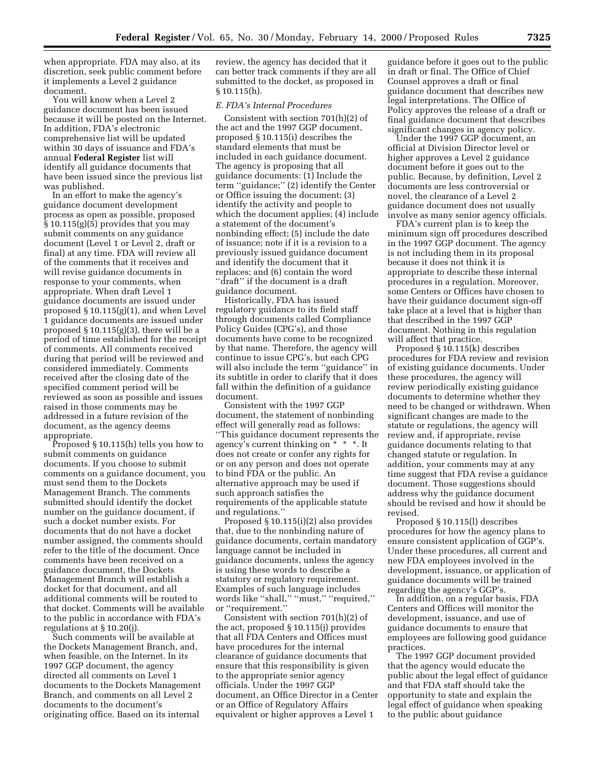when appropriate. FDA may also, at its discretion, seek public comment before it implements a Level 2 guidance document.

You will know when a Level 2 guidance document has been issued because it will be posted on the Internet. In addition, FDA's electronic comprehensive list will be updated within 30 days of issuance and FDA's annual **Federal Register** list will identify all guidance documents that have been issued since the previous list was published.

In an effort to make the agency's guidance document development process as open as possible, proposed § 10.115(g)(5) provides that you may submit comments on any guidance document (Level 1 or Level 2, draft or final) at any time. FDA will review all of the comments that it receives and will revise guidance documents in response to your comments, when appropriate. When draft Level 1 guidance documents are issued under proposed § 10.115(g)(1), and when Level 1 guidance documents are issued under proposed  $\S 10.115(g)(3)$ , there will be a period of time established for the receipt of comments. All comments received during that period will be reviewed and considered immediately. Comments received after the closing date of the specified comment period will be reviewed as soon as possible and issues raised in those comments may be addressed in a future revision of the document, as the agency deems appropriate.

Proposed § 10.115(h) tells you how to submit comments on guidance documents. If you choose to submit comments on a guidance document, you must send them to the Dockets Management Branch. The comments submitted should identify the docket number on the guidance document, if such a docket number exists. For documents that do not have a docket number assigned, the comments should refer to the title of the document. Once comments have been received on a guidance document, the Dockets Management Branch will establish a docket for that document, and all additional comments will be routed to that docket. Comments will be available to the public in accordance with FDA's regulations at § 10.20(j).

Such comments will be available at the Dockets Management Branch, and, when feasible, on the Internet. In its 1997 GGP document, the agency directed all comments on Level 1 documents to the Dockets Management Branch, and comments on all Level 2 documents to the document's originating office. Based on its internal

review, the agency has decided that it can better track comments if they are all submitted to the docket, as proposed in § 10.115(h).

## *E. FDA's Internal Procedures*

Consistent with section 701(h)(2) of the act and the 1997 GGP document, proposed § 10.115(i) describes the standard elements that must be included in each guidance document. The agency is proposing that all guidance documents: (1) Include the term ''guidance;'' (2) identify the Center or Office issuing the document; (3) identify the activity and people to which the document applies; (4) include a statement of the document's nonbinding effect; (5) include the date of issuance; note if it is a revision to a previously issued guidance document and identify the document that it replaces; and (6) contain the word ''draft'' if the document is a draft guidance document.

Historically, FDA has issued regulatory guidance to its field staff through documents called Compliance Policy Guides (CPG's), and those documents have come to be recognized by that name. Therefore, the agency will continue to issue CPG's, but each CPG will also include the term ''guidance'' in its subtitle in order to clarify that it does fall within the definition of a guidance document.

Consistent with the 1997 GGP document, the statement of nonbinding effect will generally read as follows: ''This guidance document represents the agency's current thinking on \* \* \*. It does not create or confer any rights for or on any person and does not operate to bind FDA or the public. An alternative approach may be used if such approach satisfies the requirements of the applicable statute and regulations.''

Proposed § 10.115(i)(2) also provides that, due to the nonbinding nature of guidance documents, certain mandatory language cannot be included in guidance documents, unless the agency is using these words to describe a statutory or regulatory requirement. Examples of such language includes words like ''shall,'' ''must,'' ''required,'' or ''requirement.''

Consistent with section 701(h)(2) of the act, proposed § 10.115(j) provides that all FDA Centers and Offices must have procedures for the internal clearance of guidance documents that ensure that this responsibility is given to the appropriate senior agency officials. Under the 1997 GGP document, an Office Director in a Center or an Office of Regulatory Affairs equivalent or higher approves a Level 1

guidance before it goes out to the public in draft or final. The Office of Chief Counsel approves a draft or final guidance document that describes new legal interpretations. The Office of Policy approves the release of a draft or final guidance document that describes significant changes in agency policy.

Under the 1997 GGP document, an official at Division Director level or higher approves a Level 2 guidance document before it goes out to the public. Because, by definition, Level 2 documents are less controversial or novel, the clearance of a Level 2 guidance document does not usually involve as many senior agency officials.

FDA's current plan is to keep the minimum sign off procedures described in the 1997 GGP document. The agency is not including them in its proposal because it does not think it is appropriate to describe these internal procedures in a regulation. Moreover, some Centers or Offices have chosen to have their guidance document sign-off take place at a level that is higher than that described in the 1997 GGP document. Nothing in this regulation will affect that practice.

Proposed § 10.115(k) describes procedures for FDA review and revision of existing guidance documents. Under these procedures, the agency will review periodically existing guidance documents to determine whether they need to be changed or withdrawn. When significant changes are made to the statute or regulations, the agency will review and, if appropriate, revise guidance documents relating to that changed statute or regulation. In addition, your comments may at any time suggest that FDA revise a guidance document. Those suggestions should address why the guidance document should be revised and how it should be revised.

Proposed § 10.115(l) describes procedures for how the agency plans to ensure consistent application of GGP's. Under these procedures, all current and new FDA employees involved in the development, issuance, or application of guidance documents will be trained regarding the agency's GGP's.

In addition, on a regular basis, FDA Centers and Offices will monitor the development, issuance, and use of guidance documents to ensure that employees are following good guidance practices.

The 1997 GGP document provided that the agency would educate the public about the legal effect of guidance and that FDA staff should take the opportunity to state and explain the legal effect of guidance when speaking to the public about guidance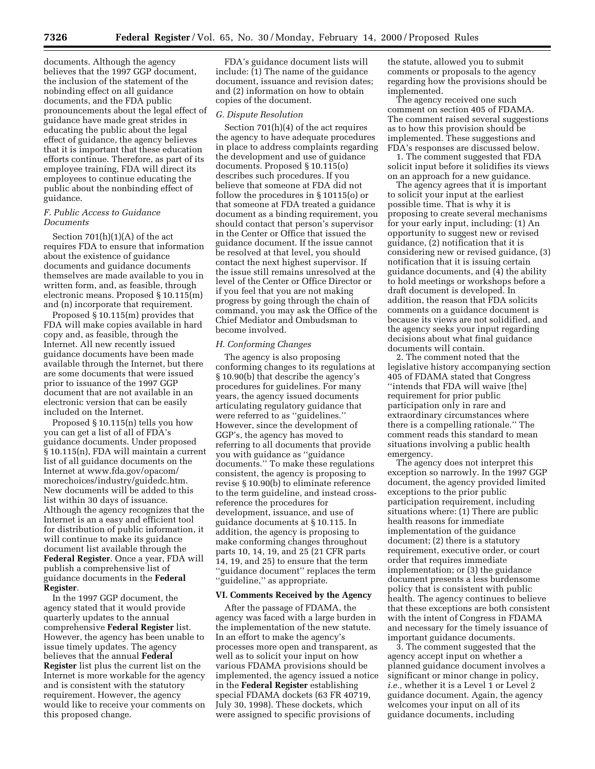documents. Although the agency believes that the 1997 GGP document, the inclusion of the statement of the nobinding effect on all guidance documents, and the FDA public pronouncements about the legal effect of guidance have made great strides in educating the public about the legal effect of guidance, the agency believes that it is important that these education efforts continue. Therefore, as part of its employee training, FDA will direct its employees to continue educating the public about the nonbinding effect of guidance.

## *F. Public Access to Guidance Documents*

Section 701(h)(1)(A) of the act requires FDA to ensure that information about the existence of guidance documents and guidance documents themselves are made available to you in written form, and, as feasible, through electronic means. Proposed § 10.115(m) and (n) incorporate that requirement.

Proposed § 10.115(m) provides that FDA will make copies available in hard copy and, as feasible, through the Internet. All new recently issued guidance documents have been made available through the Internet, but there are some documents that were issued prior to issuance of the 1997 GGP document that are not available in an electronic version that can be easily included on the Internet.

Proposed § 10.115(n) tells you how you can get a list of all of FDA's guidance documents. Under proposed § 10.115(n), FDA will maintain a current list of all guidance documents on the Internet at www.fda.gov/opacom/ morechoices/industry/guidedc.htm. New documents will be added to this list within 30 days of issuance. Although the agency recognizes that the Internet is an a easy and efficient tool for distribution of public information, it will continue to make its guidance document list available through the **Federal Register**. Once a year, FDA will publish a comprehensive list of guidance documents in the **Federal Register**.

In the 1997 GGP document, the agency stated that it would provide quarterly updates to the annual comprehensive **Federal Register** list. However, the agency has been unable to issue timely updates. The agency believes that the annual **Federal Register** list plus the current list on the Internet is more workable for the agency and is consistent with the statutory requirement. However, the agency would like to receive your comments on this proposed change.

FDA's guidance document lists will include: (1) The name of the guidance document, issuance and revision dates; and (2) information on how to obtain copies of the document.

#### *G. Dispute Resolution*

Section 701(h)(4) of the act requires the agency to have adequate procedures in place to address complaints regarding the development and use of guidance documents. Proposed § 10.115(o) describes such procedures. If you believe that someone at FDA did not follow the procedures in § 10115(o) or that someone at FDA treated a guidance document as a binding requirement, you should contact that person's supervisor in the Center or Office that issued the guidance document. If the issue cannot be resolved at that level, you should contact the next highest supervisor. If the issue still remains unresolved at the level of the Center or Office Director or if you feel that you are not making progress by going through the chain of command, you may ask the Office of the Chief Mediator and Ombudsman to become involved.

#### *H. Conforming Changes*

The agency is also proposing conforming changes to its regulations at § 10.90(b) that describe the agency's procedures for guidelines. For many years, the agency issued documents articulating regulatory guidance that were referred to as ''guidelines.'' However, since the development of GGP's, the agency has moved to referring to all documents that provide you with guidance as ''guidance documents.'' To make these regulations consistent, the agency is proposing to revise § 10.90(b) to eliminate reference to the term guideline, and instead crossreference the procedures for development, issuance, and use of guidance documents at § 10.115. In addition, the agency is proposing to make conforming changes throughout parts 10, 14, 19, and 25 (21 CFR parts 14, 19, and 25) to ensure that the term ''guidance document'' replaces the term ''guideline,'' as appropriate.

### **VI. Comments Received by the Agency**

After the passage of FDAMA, the agency was faced with a large burden in the implementation of the new statute. In an effort to make the agency's processes more open and transparent, as well as to solicit your input on how various FDAMA provisions should be implemented, the agency issued a notice in the **Federal Register** establishing special FDAMA dockets (63 FR 40719, July 30, 1998). These dockets, which were assigned to specific provisions of

the statute, allowed you to submit comments or proposals to the agency regarding how the provisions should be implemented.

The agency received one such comment on section 405 of FDAMA. The comment raised several suggestions as to how this provision should be implemented. These suggestions and FDA's responses are discussed below.

1. The comment suggested that FDA solicit input before it solidifies its views on an approach for a new guidance.

The agency agrees that it is important to solicit your input at the earliest possible time. That is why it is proposing to create several mechanisms for your early input, including: (1) An opportunity to suggest new or revised guidance, (2) notification that it is considering new or revised guidance, (3) notification that it is issuing certain guidance documents, and (4) the ability to hold meetings or workshops before a draft document is developed. In addition, the reason that FDA solicits comments on a guidance document is because its views are not solidified, and the agency seeks your input regarding decisions about what final guidance documents will contain.

2. The comment noted that the legislative history accompanying section 405 of FDAMA stated that Congress ''intends that FDA will waive [the] requirement for prior public participation only in rare and extraordinary circumstances where there is a compelling rationale.'' The comment reads this standard to mean situations involving a public health emergency.

The agency does not interpret this exception so narrowly. In the 1997 GGP document, the agency provided limited exceptions to the prior public participation requirement, including situations where: (1) There are public health reasons for immediate implementation of the guidance document; (2) there is a statutory requirement, executive order, or court order that requires immediate implementation; or (3) the guidance document presents a less burdensome policy that is consistent with public health. The agency continues to believe that these exceptions are both consistent with the intent of Congress in FDAMA and necessary for the timely issuance of important guidance documents.

3. The comment suggested that the agency accept input on whether a planned guidance document involves a significant or minor change in policy, *i.e.*, whether it is a Level 1 or Level 2 guidance document. Again, the agency welcomes your input on all of its guidance documents, including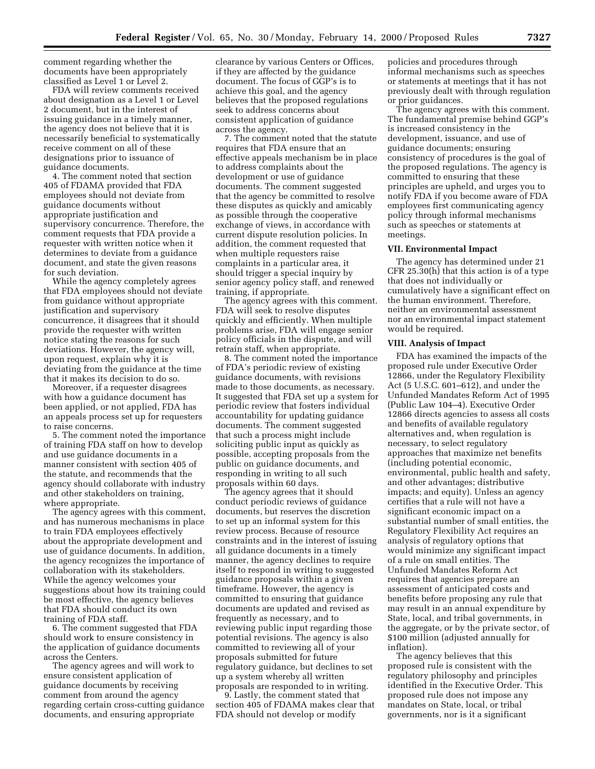comment regarding whether the documents have been appropriately classified as Level 1 or Level 2.

FDA will review comments received about designation as a Level 1 or Level 2 document, but in the interest of issuing guidance in a timely manner, the agency does not believe that it is necessarily beneficial to systematically receive comment on all of these designations prior to issuance of guidance documents.

4. The comment noted that section 405 of FDAMA provided that FDA employees should not deviate from guidance documents without appropriate justification and supervisory concurrence. Therefore, the comment requests that FDA provide a requester with written notice when it determines to deviate from a guidance document, and state the given reasons for such deviation.

While the agency completely agrees that FDA employees should not deviate from guidance without appropriate justification and supervisory concurrence, it disagrees that it should provide the requester with written notice stating the reasons for such deviations. However, the agency will, upon request, explain why it is deviating from the guidance at the time that it makes its decision to do so.

Moreover, if a requester disagrees with how a guidance document has been applied, or not applied, FDA has an appeals process set up for requesters to raise concerns.

5. The comment noted the importance of training FDA staff on how to develop and use guidance documents in a manner consistent with section 405 of the statute, and recommends that the agency should collaborate with industry and other stakeholders on training, where appropriate.

The agency agrees with this comment, and has numerous mechanisms in place to train FDA employees effectively about the appropriate development and use of guidance documents. In addition, the agency recognizes the importance of collaboration with its stakeholders. While the agency welcomes your suggestions about how its training could be most effective, the agency believes that FDA should conduct its own training of FDA staff.

6. The comment suggested that FDA should work to ensure consistency in the application of guidance documents across the Centers.

The agency agrees and will work to ensure consistent application of guidance documents by receiving comment from around the agency regarding certain cross-cutting guidance documents, and ensuring appropriate

clearance by various Centers or Offices, if they are affected by the guidance document. The focus of GGP's is to achieve this goal, and the agency believes that the proposed regulations seek to address concerns about consistent application of guidance across the agency.

7. The comment noted that the statute requires that FDA ensure that an effective appeals mechanism be in place to address complaints about the development or use of guidance documents. The comment suggested that the agency be committed to resolve these disputes as quickly and amicably as possible through the cooperative exchange of views, in accordance with current dispute resolution policies. In addition, the comment requested that when multiple requesters raise complaints in a particular area, it should trigger a special inquiry by senior agency policy staff, and renewed training, if appropriate.

The agency agrees with this comment. FDA will seek to resolve disputes quickly and efficiently. When multiple problems arise, FDA will engage senior policy officials in the dispute, and will retrain staff, when appropriate.

8. The comment noted the importance of FDA's periodic review of existing guidance documents, with revisions made to those documents, as necessary. It suggested that FDA set up a system for periodic review that fosters individual accountability for updating guidance documents. The comment suggested that such a process might include soliciting public input as quickly as possible, accepting proposals from the public on guidance documents, and responding in writing to all such proposals within 60 days.

The agency agrees that it should conduct periodic reviews of guidance documents, but reserves the discretion to set up an informal system for this review process. Because of resource constraints and in the interest of issuing all guidance documents in a timely manner, the agency declines to require itself to respond in writing to suggested guidance proposals within a given timeframe. However, the agency is committed to ensuring that guidance documents are updated and revised as frequently as necessary, and to reviewing public input regarding those potential revisions. The agency is also committed to reviewing all of your proposals submitted for future regulatory guidance, but declines to set up a system whereby all written proposals are responded to in writing.

9. Lastly, the comment stated that section 405 of FDAMA makes clear that FDA should not develop or modify

policies and procedures through informal mechanisms such as speeches or statements at meetings that it has not previously dealt with through regulation or prior guidances.

The agency agrees with this comment. The fundamental premise behind GGP's is increased consistency in the development, issuance, and use of guidance documents; ensuring consistency of procedures is the goal of the proposed regulations. The agency is committed to ensuring that these principles are upheld, and urges you to notify FDA if you become aware of FDA employees first communicating agency policy through informal mechanisms such as speeches or statements at meetings.

### **VII. Environmental Impact**

The agency has determined under 21 CFR 25.30(h) that this action is of a type that does not individually or cumulatively have a significant effect on the human environment. Therefore, neither an environmental assessment nor an environmental impact statement would be required.

### **VIII. Analysis of Impact**

FDA has examined the impacts of the proposed rule under Executive Order 12866, under the Regulatory Flexibility Act (5 U.S.C. 601–612), and under the Unfunded Mandates Reform Act of 1995 (Public Law 104–4). Executive Order 12866 directs agencies to assess all costs and benefits of available regulatory alternatives and, when regulation is necessary, to select regulatory approaches that maximize net benefits (including potential economic, environmental, public health and safety, and other advantages; distributive impacts; and equity). Unless an agency certifies that a rule will not have a significant economic impact on a substantial number of small entities, the Regulatory Flexibility Act requires an analysis of regulatory options that would minimize any significant impact of a rule on small entities. The Unfunded Mandates Reform Act requires that agencies prepare an assessment of anticipated costs and benefits before proposing any rule that may result in an annual expenditure by State, local, and tribal governments, in the aggregate, or by the private sector, of \$100 million (adjusted annually for inflation).

The agency believes that this proposed rule is consistent with the regulatory philosophy and principles identified in the Executive Order. This proposed rule does not impose any mandates on State, local, or tribal governments, nor is it a significant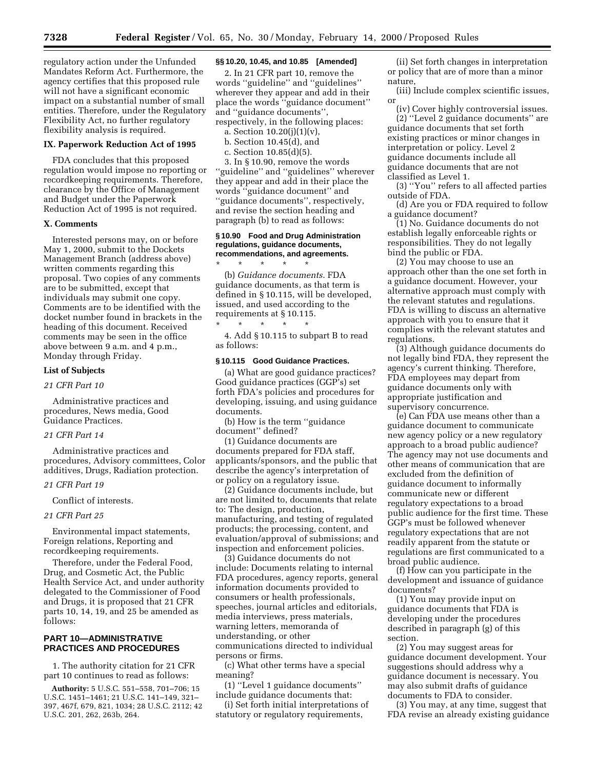regulatory action under the Unfunded Mandates Reform Act. Furthermore, the agency certifies that this proposed rule will not have a significant economic impact on a substantial number of small entities. Therefore, under the Regulatory Flexibility Act, no further regulatory flexibility analysis is required.

### **IX. Paperwork Reduction Act of 1995**

FDA concludes that this proposed regulation would impose no reporting or recordkeeping requirements. Therefore, clearance by the Office of Management and Budget under the Paperwork Reduction Act of 1995 is not required.

### **X. Comments**

Interested persons may, on or before May 1, 2000, submit to the Dockets Management Branch (address above) written comments regarding this proposal. Two copies of any comments are to be submitted, except that individuals may submit one copy. Comments are to be identified with the docket number found in brackets in the heading of this document. Received comments may be seen in the office above between 9 a.m. and 4 p.m., Monday through Friday.

#### **List of Subjects**

# *21 CFR Part 10*

Administrative practices and procedures, News media, Good Guidance Practices.

### *21 CFR Part 14*

Administrative practices and procedures, Advisory committees, Color additives, Drugs, Radiation protection.

# *21 CFR Part 19*

Conflict of interests.

### *21 CFR Part 25*

Environmental impact statements, Foreign relations, Reporting and recordkeeping requirements.

Therefore, under the Federal Food, Drug, and Cosmetic Act, the Public Health Service Act, and under authority delegated to the Commissioner of Food and Drugs, it is proposed that 21 CFR parts 10, 14, 19, and 25 be amended as follows:

## **PART 10—ADMINISTRATIVE PRACTICES AND PROCEDURES**

1. The authority citation for 21 CFR part 10 continues to read as follows:

**Authority:** 5 U.S.C. 551–558, 701–706; 15 U.S.C. 1451–1461; 21 U.S.C. 141–149, 321– 397, 467f, 679, 821, 1034; 28 U.S.C. 2112; 42 U.S.C. 201, 262, 263b, 264.

## **§§ 10.20, 10.45, and 10.85 [Amended]**

2. In 21 CFR part 10, remove the words ''guideline'' and ''guidelines'' wherever they appear and add in their place the words ''guidance document'' and ''guidance documents'', respectively, in the following places:

a. Section  $10.20(j)(1)(v)$ ,

- b. Section 10.45(d), and
- c. Section 10.85(d)(5).

3. In § 10.90, remove the words 'guideline'' and "guidelines" wherever they appear and add in their place the words ''guidance document'' and ''guidance documents'', respectively, and revise the section heading and paragraph (b) to read as follows:

### **§ 10.90 Food and Drug Administration regulations, guidance documents, recommendations, and agreements.**

\* \* \* \* \* (b) *Guidance documents*. FDA guidance documents, as that term is defined in § 10.115, will be developed, issued, and used according to the requirements at § 10.115.

\* \* \* \* \* 4. Add § 10.115 to subpart B to read as follows:

#### **§ 10.115 Good Guidance Practices.**

(a) What are good guidance practices? Good guidance practices (GGP's) set forth FDA's policies and procedures for developing, issuing, and using guidance documents.

(b) How is the term ''guidance document'' defined?

(1) Guidance documents are documents prepared for FDA staff, applicants/sponsors, and the public that describe the agency's interpretation of or policy on a regulatory issue.

(2) Guidance documents include, but are not limited to, documents that relate to: The design, production, manufacturing, and testing of regulated products; the processing, content, and evaluation/approval of submissions; and inspection and enforcement policies.

(3) Guidance documents do not include: Documents relating to internal FDA procedures, agency reports, general information documents provided to consumers or health professionals, speeches, journal articles and editorials, media interviews, press materials, warning letters, memoranda of understanding, or other communications directed to individual persons or firms.

(c) What other terms have a special meaning?

(1) ''Level 1 guidance documents'' include guidance documents that:

(i) Set forth initial interpretations of statutory or regulatory requirements,

(ii) Set forth changes in interpretation or policy that are of more than a minor nature,

(iii) Include complex scientific issues, or

(iv) Cover highly controversial issues. (2) ''Level 2 guidance documents'' are guidance documents that set forth existing practices or minor changes in interpretation or policy. Level 2 guidance documents include all guidance documents that are not classified as Level 1.

(3) ''You'' refers to all affected parties outside of FDA.

(d) Are you or FDA required to follow a guidance document?

(1) No. Guidance documents do not establish legally enforceable rights or responsibilities. They do not legally bind the public or FDA.

(2) You may choose to use an approach other than the one set forth in a guidance document. However, your alternative approach must comply with the relevant statutes and regulations. FDA is willing to discuss an alternative approach with you to ensure that it complies with the relevant statutes and regulations.

(3) Although guidance documents do not legally bind FDA, they represent the agency's current thinking. Therefore, FDA employees may depart from guidance documents only with appropriate justification and supervisory concurrence.

(e) Can FDA use means other than a guidance document to communicate new agency policy or a new regulatory approach to a broad public audience? The agency may not use documents and other means of communication that are excluded from the definition of guidance document to informally communicate new or different regulatory expectations to a broad public audience for the first time. These GGP's must be followed whenever regulatory expectations that are not readily apparent from the statute or regulations are first communicated to a broad public audience.

(f) How can you participate in the development and issuance of guidance documents?

(1) You may provide input on guidance documents that FDA is developing under the procedures described in paragraph (g) of this section.

(2) You may suggest areas for guidance document development. Your suggestions should address why a guidance document is necessary. You may also submit drafts of guidance documents to FDA to consider.

(3) You may, at any time, suggest that FDA revise an already existing guidance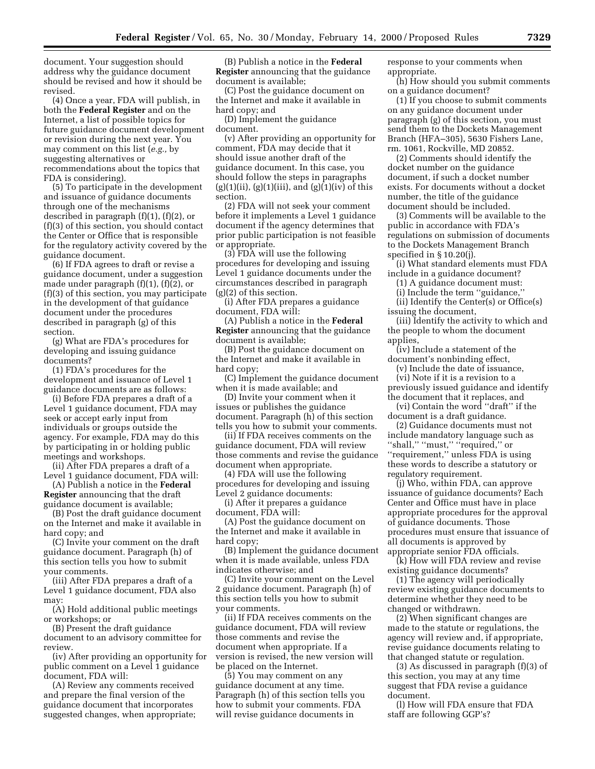document. Your suggestion should address why the guidance document should be revised and how it should be revised.

(4) Once a year, FDA will publish, in both the **Federal Register** and on the Internet, a list of possible topics for future guidance document development or revision during the next year. You may comment on this list (*e.g.,* by suggesting alternatives or recommendations about the topics that FDA is considering).

(5) To participate in the development and issuance of guidance documents through one of the mechanisms described in paragraph (f)(1), (f)(2), or (f)(3) of this section, you should contact the Center or Office that is responsible for the regulatory activity covered by the guidance document.

(6) If FDA agrees to draft or revise a guidance document, under a suggestion made under paragraph (f)(1), (f)(2), or (f)(3) of this section, you may participate in the development of that guidance document under the procedures described in paragraph (g) of this section.

(g) What are FDA's procedures for developing and issuing guidance documents?

(1) FDA's procedures for the development and issuance of Level 1 guidance documents are as follows:

(i) Before FDA prepares a draft of a Level 1 guidance document, FDA may seek or accept early input from individuals or groups outside the agency. For example, FDA may do this by participating in or holding public meetings and workshops.

(ii) After FDA prepares a draft of a Level 1 guidance document, FDA will:

(A) Publish a notice in the **Federal Register** announcing that the draft guidance document is available;

(B) Post the draft guidance document on the Internet and make it available in hard copy; and

(C) Invite your comment on the draft guidance document. Paragraph (h) of this section tells you how to submit your comments.

(iii) After FDA prepares a draft of a Level 1 guidance document, FDA also may:

(A) Hold additional public meetings or workshops; or

(B) Present the draft guidance document to an advisory committee for review.

(iv) After providing an opportunity for public comment on a Level 1 guidance document, FDA will:

(A) Review any comments received and prepare the final version of the guidance document that incorporates suggested changes, when appropriate;

(B) Publish a notice in the **Federal Register** announcing that the guidance document is available;

(C) Post the guidance document on the Internet and make it available in hard copy; and

(D) Implement the guidance document.

(v) After providing an opportunity for comment, FDA may decide that it should issue another draft of the guidance document. In this case, you should follow the steps in paragraphs  $(g)(1)(ii)$ ,  $(g)(1)(iii)$ , and  $(g)(1)(iv)$  of this section.

(2) FDA will not seek your comment before it implements a Level 1 guidance document if the agency determines that prior public participation is not feasible or appropriate.

(3) FDA will use the following procedures for developing and issuing Level 1 guidance documents under the circumstances described in paragraph (g)(2) of this section.

(i) After FDA prepares a guidance document, FDA will:

(A) Publish a notice in the **Federal Register** announcing that the guidance document is available;

(B) Post the guidance document on the Internet and make it available in hard copy;

(C) Implement the guidance document when it is made available; and

(D) Invite your comment when it issues or publishes the guidance document. Paragraph (h) of this section tells you how to submit your comments.

(ii) If FDA receives comments on the guidance document, FDA will review those comments and revise the guidance document when appropriate.

(4) FDA will use the following procedures for developing and issuing Level 2 guidance documents:

(i) After it prepares a guidance document, FDA will:

(A) Post the guidance document on the Internet and make it available in hard copy;

(B) Implement the guidance document when it is made available, unless FDA indicates otherwise; and

(C) Invite your comment on the Level 2 guidance document. Paragraph (h) of this section tells you how to submit your comments.

(ii) If FDA receives comments on the guidance document, FDA will review those comments and revise the document when appropriate. If a version is revised, the new version will be placed on the Internet.

(5) You may comment on any guidance document at any time. Paragraph (h) of this section tells you how to submit your comments. FDA will revise guidance documents in

response to your comments when appropriate.

(h) How should you submit comments on a guidance document?

(1) If you choose to submit comments on any guidance document under paragraph (g) of this section, you must send them to the Dockets Management Branch (HFA–305), 5630 Fishers Lane, rm. 1061, Rockville, MD 20852.

(2) Comments should identify the docket number on the guidance document, if such a docket number exists. For documents without a docket number, the title of the guidance document should be included.

(3) Comments will be available to the public in accordance with FDA's regulations on submission of documents to the Dockets Management Branch specified in § 10.20(j).

(i) What standard elements must FDA include in a guidance document?

(1) A guidance document must:

(i) Include the term ''guidance,''

(ii) Identify the Center(s) or Office(s) issuing the document,

(iii) Identify the activity to which and the people to whom the document applies,

(iv) Include a statement of the document's nonbinding effect,

(v) Include the date of issuance, (vi) Note if it is a revision to a previously issued guidance and identify the document that it replaces, and

(vi) Contain the word ''draft'' if the document is a draft guidance.

(2) Guidance documents must not include mandatory language such as "shall," "must," "required," or ''requirement,'' unless FDA is using these words to describe a statutory or regulatory requirement.

(j) Who, within FDA, can approve issuance of guidance documents? Each Center and Office must have in place appropriate procedures for the approval of guidance documents. Those procedures must ensure that issuance of all documents is approved by appropriate senior FDA officials.

(k) How will FDA review and revise existing guidance documents?

(1) The agency will periodically review existing guidance documents to determine whether they need to be changed or withdrawn.

(2) When significant changes are made to the statute or regulations, the agency will review and, if appropriate, revise guidance documents relating to that changed statute or regulation.

(3) As discussed in paragraph (f)(3) of this section, you may at any time suggest that FDA revise a guidance document.

(l) How will FDA ensure that FDA staff are following GGP's?